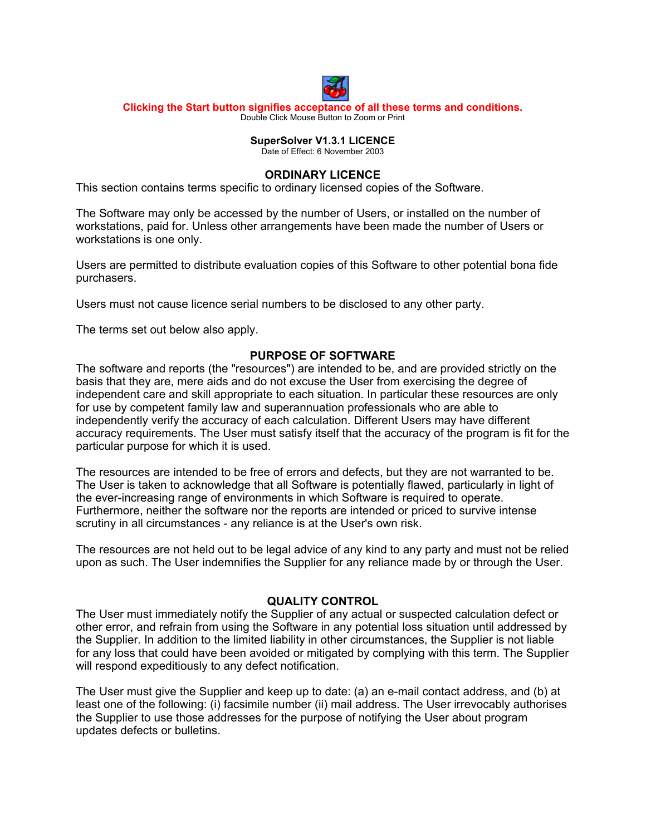# **Clicking the Start button signifies acceptance of all these terms and conditions.** Double Click Mouse Button to Zoom or Print

#### **SuperSolver V1.3.1 LICENCE** Date of Effect: 6 November 2003

# **ORDINARY LICENCE**

This section contains terms specific to ordinary licensed copies of the Software.

The Software may only be accessed by the number of Users, or installed on the number of workstations, paid for. Unless other arrangements have been made the number of Users or workstations is one only.

Users are permitted to distribute evaluation copies of this Software to other potential bona fide purchasers.

Users must not cause licence serial numbers to be disclosed to any other party.

The terms set out below also apply.

# **PURPOSE OF SOFTWARE**

The software and reports (the "resources") are intended to be, and are provided strictly on the basis that they are, mere aids and do not excuse the User from exercising the degree of independent care and skill appropriate to each situation. In particular these resources are only for use by competent family law and superannuation professionals who are able to independently verify the accuracy of each calculation. Different Users may have different accuracy requirements. The User must satisfy itself that the accuracy of the program is fit for the particular purpose for which it is used.

The resources are intended to be free of errors and defects, but they are not warranted to be. The User is taken to acknowledge that all Software is potentially flawed, particularly in light of the ever-increasing range of environments in which Software is required to operate. Furthermore, neither the software nor the reports are intended or priced to survive intense scrutiny in all circumstances - any reliance is at the User's own risk.

The resources are not held out to be legal advice of any kind to any party and must not be relied upon as such. The User indemnifies the Supplier for any reliance made by or through the User.

#### **QUALITY CONTROL**

The User must immediately notify the Supplier of any actual or suspected calculation defect or other error, and refrain from using the Software in any potential loss situation until addressed by the Supplier. In addition to the limited liability in other circumstances, the Supplier is not liable for any loss that could have been avoided or mitigated by complying with this term. The Supplier will respond expeditiously to any defect notification.

The User must give the Supplier and keep up to date: (a) an e-mail contact address, and (b) at least one of the following: (i) facsimile number (ii) mail address. The User irrevocably authorises the Supplier to use those addresses for the purpose of notifying the User about program updates defects or bulletins.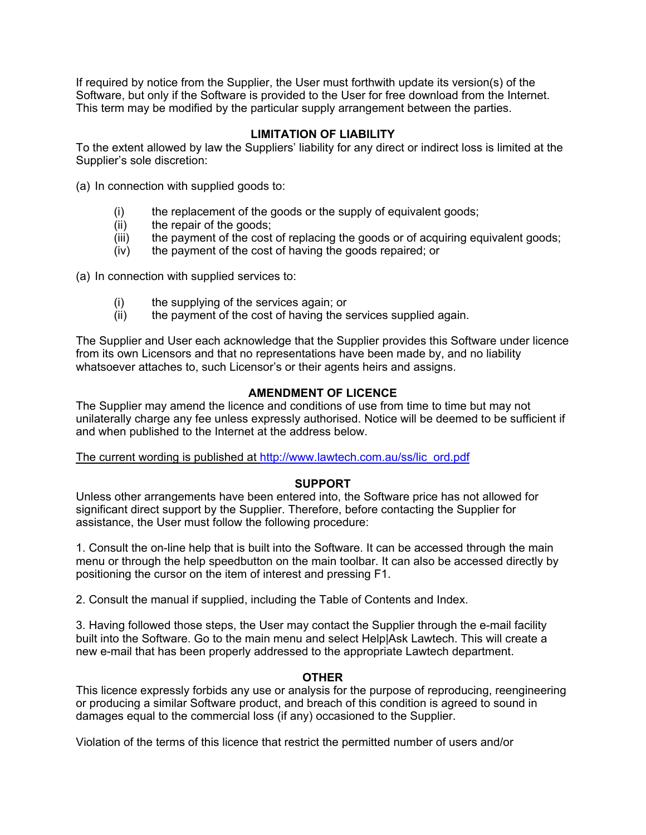If required by notice from the Supplier, the User must forthwith update its version(s) of the Software, but only if the Software is provided to the User for free download from the Internet. This term may be modified by the particular supply arrangement between the parties.

# **LIMITATION OF LIABILITY**

To the extent allowed by law the Suppliers' liability for any direct or indirect loss is limited at the Supplier's sole discretion:

(a) In connection with supplied goods to:

- (i) the replacement of the goods or the supply of equivalent goods;
- (ii) the repair of the goods;
- (iii) the payment of the cost of replacing the goods or of acquiring equivalent goods;
- (iv) the payment of the cost of having the goods repaired; or

(a) In connection with supplied services to:

- (i) the supplying of the services again; or
- (ii) the payment of the cost of having the services supplied again.

The Supplier and User each acknowledge that the Supplier provides this Software under licence from its own Licensors and that no representations have been made by, and no liability whatsoever attaches to, such Licensor's or their agents heirs and assigns.

# **AMENDMENT OF LICENCE**

The Supplier may amend the licence and conditions of use from time to time but may not unilaterally charge any fee unless expressly authorised. Notice will be deemed to be sufficient if and when published to the Internet at the address below.

The current wording is published at http://www.lawtech.com.au/ss/lic\_ord.pdf

# **SUPPORT**

Unless other arrangements have been entered into, the Software price has not allowed for significant direct support by the Supplier. Therefore, before contacting the Supplier for assistance, the User must follow the following procedure:

1. Consult the on-line help that is built into the Software. It can be accessed through the main menu or through the help speedbutton on the main toolbar. It can also be accessed directly by positioning the cursor on the item of interest and pressing F1.

2. Consult the manual if supplied, including the Table of Contents and Index.

3. Having followed those steps, the User may contact the Supplier through the e-mail facility built into the Software. Go to the main menu and select Help|Ask Lawtech. This will create a new e-mail that has been properly addressed to the appropriate Lawtech department.

# **OTHER**

This licence expressly forbids any use or analysis for the purpose of reproducing, reengineering or producing a similar Software product, and breach of this condition is agreed to sound in damages equal to the commercial loss (if any) occasioned to the Supplier.

Violation of the terms of this licence that restrict the permitted number of users and/or